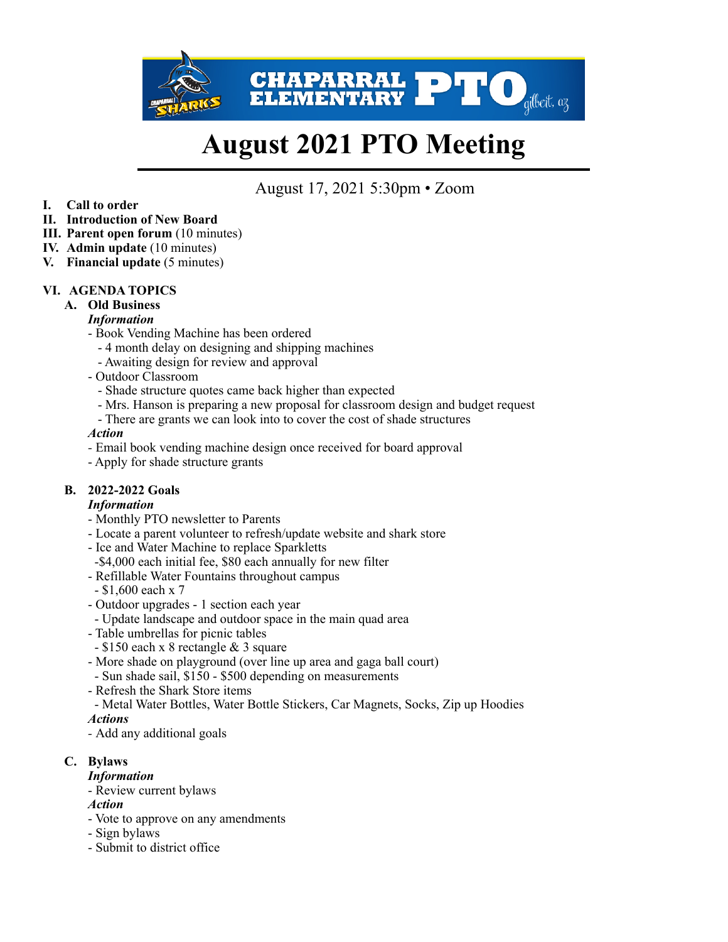

# **August 2021 PTO Meeting**

# August 17, 2021 5:30pm • Zoom

- **I. Call to order**
- **II. Introduction of New Board**
- **III. Parent open forum** (10 minutes)
- **IV. Admin update** (10 minutes)
- **V. Financial update** (5 minutes)

## **VI. AGENDA TOPICS**

**A. Old Business** 

## *Information*

- Book Vending Machine has been ordered
	- 4 month delay on designing and shipping machines
	- Awaiting design for review and approval
- Outdoor Classroom
	- Shade structure quotes came back higher than expected
	- Mrs. Hanson is preparing a new proposal for classroom design and budget request
	- There are grants we can look into to cover the cost of shade structures

#### *Action*

- Email book vending machine design once received for board approval
- Apply for shade structure grants

# **B. 2022-2022 Goals**

## *Information*

- Monthly PTO newsletter to Parents
- Locate a parent volunteer to refresh/update website and shark store
- Ice and Water Machine to replace Sparkletts
- -\$4,000 each initial fee, \$80 each annually for new filter
- Refillable Water Fountains throughout campus
- \$1,600 each x 7
- Outdoor upgrades 1 section each year
- Update landscape and outdoor space in the main quad area
- Table umbrellas for picnic tables
- \$150 each x 8 rectangle & 3 square
- More shade on playground (over line up area and gaga ball court)
- Sun shade sail, \$150 \$500 depending on measurements
- Refresh the Shark Store items
- Metal Water Bottles, Water Bottle Stickers, Car Magnets, Socks, Zip up Hoodies

## *Actions*

*-* Add any additional goals

# **C. Bylaws**

- *Information*
- Review current bylaws

#### *Action*

- Vote to approve on any amendments
- Sign bylaws
- Submit to district office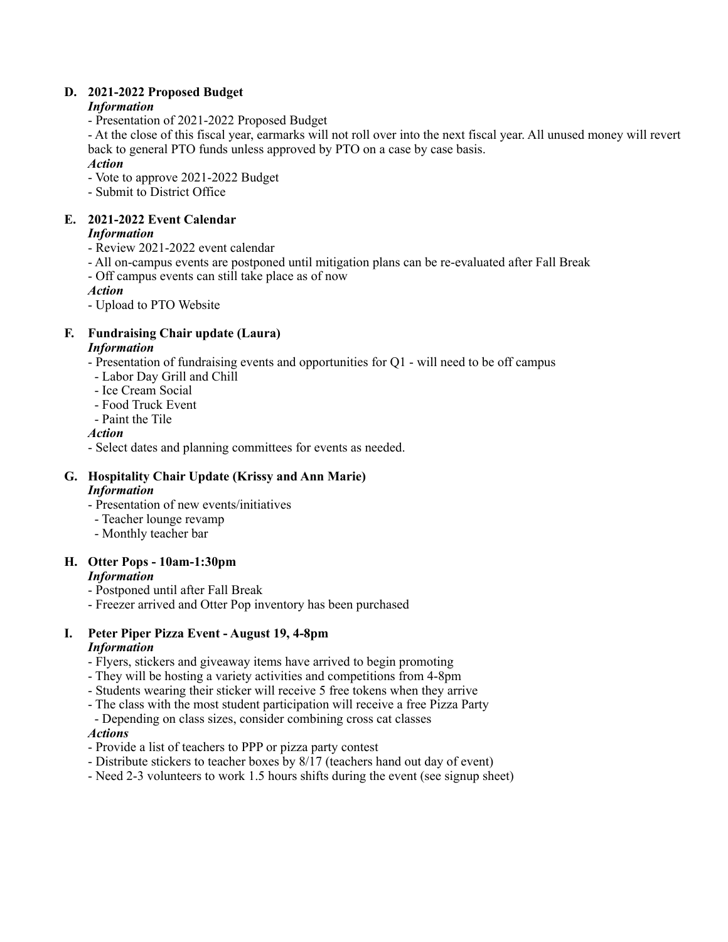# **D. 2021-2022 Proposed Budget**

# *Information*

- Presentation of 2021-2022 Proposed Budget

- At the close of this fiscal year, earmarks will not roll over into the next fiscal year. All unused money will revert back to general PTO funds unless approved by PTO on a case by case basis.

# *Action*

- Vote to approve 2021-2022 Budget
- Submit to District Office

# **E. 2021-2022 Event Calendar**

# *Information*

- Review 2021-2022 event calendar
- All on-campus events are postponed until mitigation plans can be re-evaluated after Fall Break
- Off campus events can still take place as of now
- *Action*
- Upload to PTO Website

# **F. Fundraising Chair update (Laura)**

# *Information*

- Presentation of fundraising events and opportunities for Q1 will need to be off campus
- Labor Day Grill and Chill
- Ice Cream Social
- Food Truck Event
- Paint the Tile

# *Action*

- Select dates and planning committees for events as needed.

#### **G. Hospitality Chair Update (Krissy and Ann Marie)**  *Information*

- Presentation of new events/initiatives
- Teacher lounge revamp
- Monthly teacher bar

# **H. Otter Pops - 10am-1:30pm**

# *Information*

- Postponed until after Fall Break
- Freezer arrived and Otter Pop inventory has been purchased

# **I. Peter Piper Pizza Event - August 19, 4-8pm**

# *Information*

- Flyers, stickers and giveaway items have arrived to begin promoting
- They will be hosting a variety activities and competitions from 4-8pm
- Students wearing their sticker will receive 5 free tokens when they arrive
- The class with the most student participation will receive a free Pizza Party
- Depending on class sizes, consider combining cross cat classes

## *Actions*

- Provide a list of teachers to PPP or pizza party contest
- Distribute stickers to teacher boxes by 8/17 (teachers hand out day of event)
- Need 2-3 volunteers to work 1.5 hours shifts during the event (see signup sheet)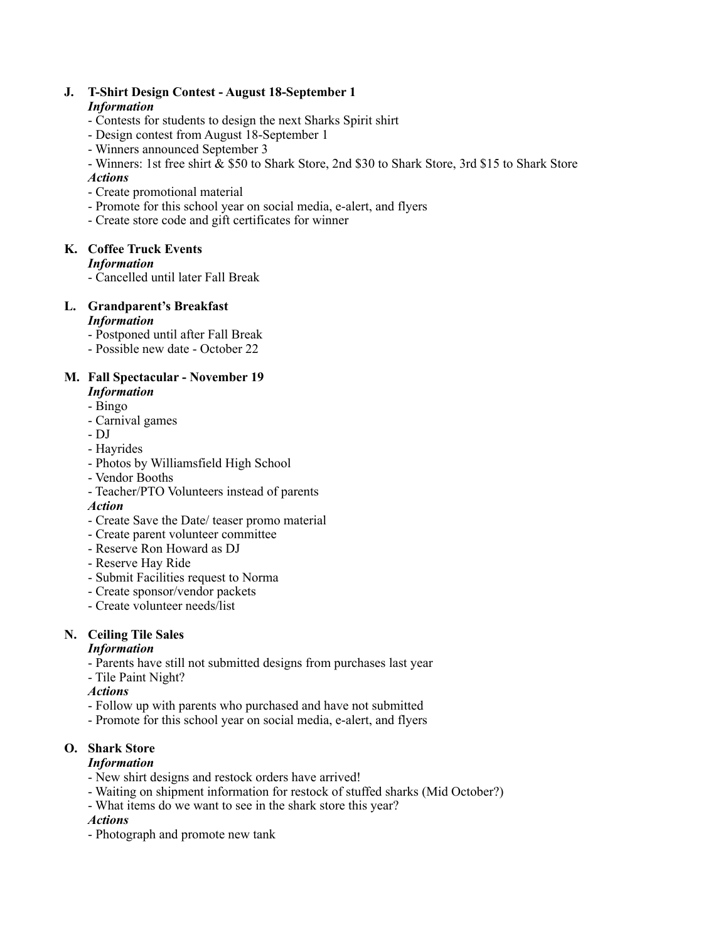#### **J. T-Shirt Design Contest - August 18-September 1**  *Information*

- Contests for students to design the next Sharks Spirit shirt
- Design contest from August 18-September 1
- Winners announced September 3
- Winners: 1st free shirt & \$50 to Shark Store, 2nd \$30 to Shark Store, 3rd \$15 to Shark Store

#### *Actions*

- Create promotional material
- Promote for this school year on social media, e-alert, and flyers
- Create store code and gift certificates for winner

# **K. Coffee Truck Events**

#### *Information*

- Cancelled until later Fall Break

#### **L. Grandparent's Breakfast**  *Information*

- Postponed until after Fall Break
- Possible new date October 22

## **M. Fall Spectacular - November 19**

- *Information*
- Bingo
- Carnival games
- DJ
- Hayrides
- Photos by Williamsfield High School
- Vendor Booths
- Teacher/PTO Volunteers instead of parents

#### *Action*

- Create Save the Date/ teaser promo material
- Create parent volunteer committee
- Reserve Ron Howard as DJ
- Reserve Hay Ride
- Submit Facilities request to Norma
- Create sponsor/vendor packets
- Create volunteer needs/list

## **N. Ceiling Tile Sales**

#### *Information*

- Parents have still not submitted designs from purchases last year
- Tile Paint Night?

#### *Actions*

- Follow up with parents who purchased and have not submitted
- Promote for this school year on social media, e-alert, and flyers

# **O. Shark Store**

#### *Information*

- New shirt designs and restock orders have arrived!
- Waiting on shipment information for restock of stuffed sharks (Mid October?)
- What items do we want to see in the shark store this year?

#### *Actions*

- Photograph and promote new tank